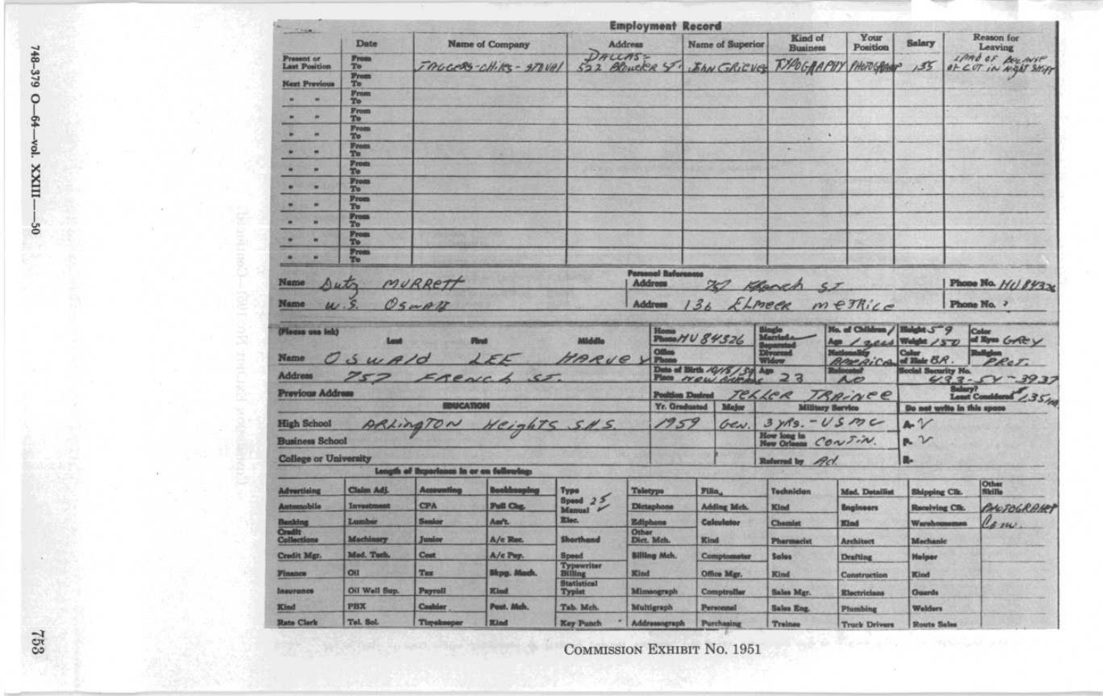| $-1000$                                        |                               |                                          |                        |                                                                        | <b>Employment Record</b>                   |                                          |                            |                      |                                          |                                               |                                              |                         |
|------------------------------------------------|-------------------------------|------------------------------------------|------------------------|------------------------------------------------------------------------|--------------------------------------------|------------------------------------------|----------------------------|----------------------|------------------------------------------|-----------------------------------------------|----------------------------------------------|-------------------------|
|                                                | Date                          |                                          | <b>Name of Company</b> |                                                                        | Address                                    |                                          | <b>Name of Superior</b>    |                      | Kind of<br>Business                      | Your<br>Position                              | Salary                                       | Reason for<br>Leaving   |
| Present or<br>Last Position                    | <b>From</b><br>T <sub>0</sub> |                                          | TAGGERS-CHIPS - STOVAL | DALLASS<br>522                                                         | Blowcke ST.                                |                                          |                            |                      | JAN GRICUS THOGRAPHY PHOTOGRAP           |                                               | 135                                          | IMA OF BOLINSE          |
| <b>Next Previous</b>                           | $\frac{p_{\text{room}}}{T_0}$ |                                          |                        |                                                                        |                                            |                                          |                            |                      |                                          |                                               |                                              | OF CUT IN NIGHT SHIP    |
| ٠                                              | <b>From</b><br>To             |                                          |                        |                                                                        |                                            |                                          |                            |                      |                                          |                                               |                                              |                         |
| ۰<br>۰                                         | <b>From</b><br>To             |                                          |                        |                                                                        |                                            |                                          |                            |                      |                                          |                                               |                                              |                         |
| ۰<br>×                                         | From<br>T <sub>0</sub>        |                                          |                        |                                                                        |                                            |                                          |                            |                      | ×                                        |                                               |                                              |                         |
| ٠                                              | From                          |                                          |                        |                                                                        |                                            |                                          |                            |                      |                                          |                                               |                                              |                         |
| m                                              | To<br>From                    |                                          |                        |                                                                        |                                            |                                          |                            |                      |                                          |                                               |                                              |                         |
|                                                | Тo<br>From                    |                                          |                        |                                                                        |                                            |                                          |                            |                      |                                          |                                               |                                              |                         |
| ٠                                              | ቸ6<br>From                    |                                          |                        |                                                                        |                                            |                                          |                            |                      |                                          |                                               | ٠                                            |                         |
| ٠                                              | To<br><b>Prom</b>             |                                          |                        |                                                                        |                                            |                                          |                            |                      |                                          |                                               |                                              |                         |
| ×                                              | To<br>From                    |                                          |                        |                                                                        |                                            |                                          |                            |                      |                                          |                                               |                                              |                         |
| ۰                                              | To                            |                                          |                        |                                                                        |                                            |                                          |                            |                      |                                          |                                               |                                              |                         |
| ×                                              | $\frac{1}{2}$                 |                                          |                        |                                                                        |                                            |                                          |                            |                      |                                          |                                               |                                              |                         |
| Name                                           |                               | MURRETT                                  |                        |                                                                        | <b>Porsonal Reforence</b><br>Address       |                                          |                            |                      |                                          |                                               |                                              |                         |
|                                                | Auto                          |                                          |                        |                                                                        |                                            |                                          |                            |                      | 20 Kench ST                              |                                               |                                              | Phone No. 110 84326     |
| Name                                           | S                             | OSWAZ                                    |                        |                                                                        | Address                                    |                                          | 36                         | ELMECK               |                                          | $m$ e $\pi$                                   |                                              | Phone No. ?             |
| (Plasse use ink)                               |                               |                                          |                        | <b>Middle</b>                                                          |                                            |                                          | Home HV 84326              |                      | Married                                  | No. of Children / Holght 5 9                  |                                              | Color<br>of Eyes Grit y |
| Name                                           |                               |                                          |                        |                                                                        |                                            |                                          |                            |                      | <b>Divorced</b><br>Widow                 | App / 2 cas Weight /50<br><b>Hatloms</b> info | Color                                        | <b>Dallaten</b>         |
|                                                | SWA/O                         |                                          | IFL                    | HARVE YPO                                                              |                                            |                                          |                            |                      |                                          | <b><i>BARRICA</i></b> of Their BR.            | colal Security No.                           | PROT.                   |
| Address                                        |                               | 757 FRENC                                | $\overline{2}$         |                                                                        |                                            |                                          | Data of Black 10/15/30 Aug |                      | 2a                                       | A                                             |                                              | $433 - 54 - 3937$       |
| Previous Address                               |                               | <b>EDUCATION</b>                         |                        |                                                                        |                                            | <b>Position Destred</b><br>Yr. Graduated |                            | TELLER<br>Major      |                                          | TRAINER                                       |                                              | Lanet Considered 235%   |
|                                                |                               |                                          |                        |                                                                        |                                            | 1959                                     |                            |                      | <b>Military Service</b><br>$3yns. -USmc$ |                                               | Do not write in this space<br>$A\mathscr{V}$ |                         |
| ARLingTON Weights S.H.S.<br><b>High School</b> |                               |                                          |                        |                                                                        |                                            |                                          | Gen.                       | How long in Confirm. |                                          | $P - V$                                       |                                              |                         |
| <b>Business School</b>                         |                               |                                          |                        |                                                                        |                                            |                                          |                            |                      |                                          |                                               |                                              |                         |
| <b>College or University</b>                   |                               | Longth of Reportones in or on following: |                        |                                                                        |                                            |                                          |                            |                      | Referred by <i>Pcl.</i>                  |                                               | R.                                           |                         |
| Advertising                                    | Claim Adj.                    | Accounting                               | <b>Bookbooping</b>     | Type                                                                   | Teletype                                   |                                          |                            |                      | Technician                               | Med. Detailist                                | <b>Shipping Clk.</b>                         | Other<br>Shills         |
| <b>Antoniobile</b>                             | Investment                    | <b>CPA</b>                               | Pall Clug              | $\begin{array}{c}\n\text{Speed} & 25 \\ \text{Mamail} & \n\end{array}$ | Dictaphone                                 | Filin,<br><b>Adding Meh.</b>             |                            |                      | Kind                                     | <b>Engineers</b>                              | <b>Receiving City</b> .                      | PHOTOGRAM!              |
| <b>Benking</b>                                 | Lumbur                        | Sealor                                   | Am'r.                  | Elec.                                                                  | Ediphone                                   |                                          | Calculator                 |                      | <b>Chemist</b>                           | <b>Kind</b>                                   | Warehousemsn                                 | Com                     |
| Crudit<br>Collections                          | Machinary                     | Junior                                   | A/c Roc.               | <b>Shorthand</b>                                                       | Other<br>Dict. Mch.<br><b>Billing Mch.</b> |                                          | Kind<br>Comptometer        |                      |                                          |                                               |                                              |                         |
| Credit Mgr.                                    | Med. Tech.                    | Cost                                     | A/c Pay.               | <b>Speed</b>                                                           |                                            |                                          |                            |                      | <b>Pharmacist</b><br><b>Sales</b>        | <b>Architect</b>                              | Mechanic<br><b>Helper</b>                    |                         |
|                                                | Oil                           | Tex                                      | Blog. Mech.            | <b>Typewriter</b><br>Billing                                           | Kind                                       |                                          | Office Mgr.                |                      |                                          | <b>Drafting</b>                               |                                              |                         |
| <b><i><u>Finance</u></i></b>                   |                               |                                          |                        | <b>Statistical</b>                                                     |                                            |                                          |                            |                      | Kind                                     | Construction                                  | Kind                                         |                         |
| Insurance                                      | Oil Wall Sup.<br>PBX          | Payroll                                  | <b>Kind</b>            | Typlot                                                                 | Mimsograph                                 |                                          | Comptroller                |                      | Sales Mgr.                               | <b>Electricians</b>                           | <b>Guards</b>                                |                         |
| Kind                                           |                               | Coshier                                  | Post, Melv.            | Tab. Mch.                                                              | Multigraph                                 |                                          | Personnel                  |                      | <b>Sales Eng.</b>                        | Plumbing                                      | Welders                                      |                         |
| <b>Rata Clerk</b>                              | Tel. Sol.                     | Timekseper                               | <b>Kind</b>            | <b>Key Punch</b>                                                       | Addressograph                              |                                          | Purchaalne                 |                      | <b>Trainee</b>                           | <b>Truck Drivers</b>                          | Route Sales                                  |                         |

748-379 O g vol. XXIIIg

 $753$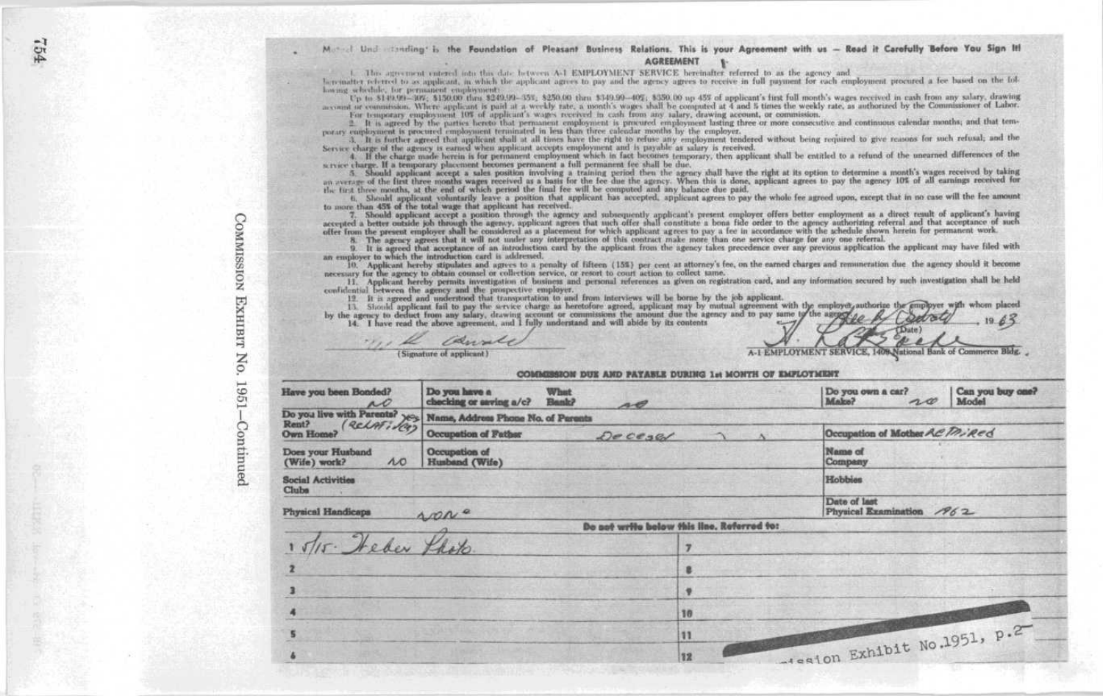1. This agreement entered into this date between A-1 EMPLOYMENT SERVICE bereinafter referred to as the agency and

la rematter referred to as applicant, in which the applicant agrees to pay and the agency agrees to receive in full payment for each employment procured a fee based on the following schedule, for permanent employments

Up to \$140.00-809; \$150.00 thru \$240.99-455; \$250.00 thru \$340.90-405; \$350.00 up 455 of applicant's irst full month's wages received in cash from any salary, drawing<br>account or commission. Where applicant is paid at a wee For temporary employment 10% of applicant's wages received in cash from any salary, drawing account, or commission.

<sup>2</sup> It is agreed by the parties hereto that permanent employment is procured employment lasting three or more consecutive and continuous calendar months; and that temporary employment is procured employment terminated in l

Service during required to give reasons for such reduced that all the state of the right is refused without being required to give reasons for such refusal; and the service charge of the agency is earned to give reasons fo

scryice charge. If a temporary placement becomes permanent a full permanent (ee shall be due,

service transport and applicant accept a sales position involving a training period then the agency duall have the right at its option to determine a month's wages received by taking<br>an average of the litt three months wag

6. Should applicant voluntarily leave a position that applicant has accepted, applicant agrees to pay the whole fee agreed upon, except that in no case will the fee amount to more than 45% of the total wage that applicant has received.

7. Should opplicant accept a position through the agency and subsequently applicant's present employer offers better employment as a direct result of applicant's having accepted a better both and the same product a better

8. The agency agrees that it will not under any interpretation of this contract make more than one service charge for any one referral.<br>9. It is agreed that acceptance of an introduction curd by the applicant from the agen an employer to which the introduction card is addressed.

10. Applicant hereby stipulates and agrees to a penalty of lifteen (15%) per cent at attorney's fee, on the earned charges and remuneration due the agency should it become necessary for the agency to obtain counsel or collection service, or resort to court action to collect same.

11. Applicant hereby permits investigation of business and personal references as given on registration card, and any information secured by such investigation shall be held

confidential between the agency sent the properties employer.<br>
11. It is agreed and understand the properties employers and the properties employers and the properties of the employer and the properties of the employer and

Canale Tre le (Signature of applicant)

## COMMERSION DUE AND PAYABLE DURING Ist MONTH OF EMPLOYMENT

National Bank of Commerce Bldg.

A.1 EMPLOYMENT SERVICE, 1409

| Have you been Bonded?                            | Do you have a<br><b>What</b><br>checking or seving a/c?<br>Bank?                | A      |                                            | Do you own a car?<br>Make?<br>20          | Can you buy one?<br>Model |  |  |  |  |
|--------------------------------------------------|---------------------------------------------------------------------------------|--------|--------------------------------------------|-------------------------------------------|---------------------------|--|--|--|--|
|                                                  | Do you live with Parents? $\chi_{C>0}$ Name, Address Phone No. of Parents Rent? |        |                                            |                                           |                           |  |  |  |  |
| Own Home?                                        | Occupation of Father                                                            | Decesa | Occupation of Mother ACTMined              |                                           |                           |  |  |  |  |
| Does your Husband<br>$\Lambda$ 0<br>(Wife) work? | Occupation of<br>Husband (Wife)                                                 |        | Name of<br>Company                         |                                           |                           |  |  |  |  |
| <b>Social Activities</b><br>Clubs                |                                                                                 |        |                                            | Hobbise                                   |                           |  |  |  |  |
| <b>Physical Handicaps</b>                        | $AOP^{\alpha}$                                                                  |        |                                            | Date of last<br>Physical Examination 1962 |                           |  |  |  |  |
|                                                  |                                                                                 |        | Do not write below this line, Referred to: |                                           |                           |  |  |  |  |
| 1 5/15. Heber Lasto.                             |                                                                                 |        | <b>z</b>                                   |                                           |                           |  |  |  |  |
|                                                  |                                                                                 |        | в                                          |                                           |                           |  |  |  |  |
|                                                  |                                                                                 |        |                                            |                                           |                           |  |  |  |  |
|                                                  |                                                                                 |        | 10                                         |                                           |                           |  |  |  |  |
|                                                  |                                                                                 |        | 11                                         | Moston Exhibit No.1951, p.2               |                           |  |  |  |  |
|                                                  |                                                                                 |        | 12                                         |                                           |                           |  |  |  |  |

**COMMISSION** тинки No. 1961 Continued

591